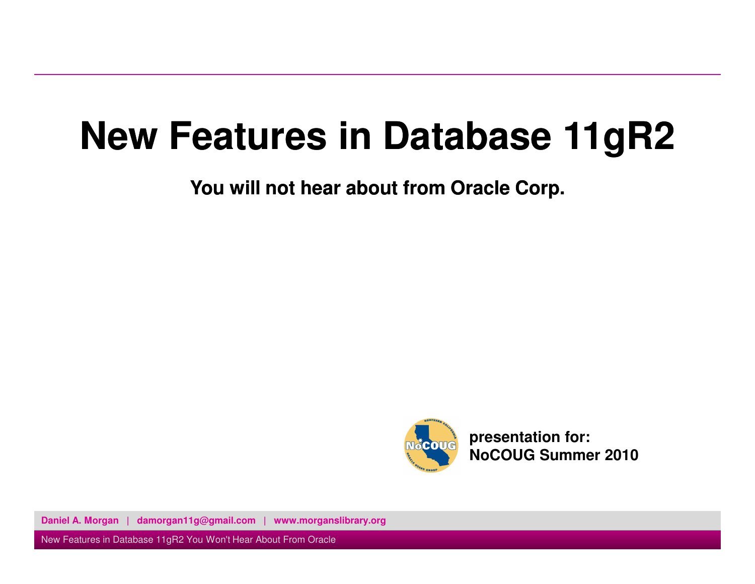## **New Features in Database 11gR2**

**You will not hear about from Oracle Corp.**



**presentation for:NoCOUG Summer 2010**

**Daniel A. Morgan | damorgan11g@gmail.com | www.morganslibrary.org**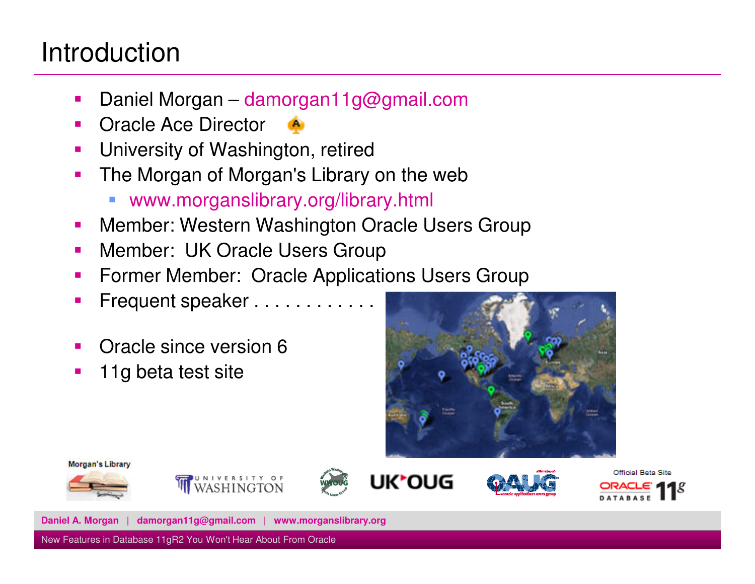### Introduction

- $\mathcal{L}_{\mathcal{A}}$ Daniel Morgan – damorgan11g@gmail.com
- **Service Service** Oracle Ace Director
- **STATE** University of Washington, retired
- **The Morgan of Morgan's Library on the web STATE** 
	- www.morganslibrary.org/library.html
- Member: Western Washington Oracle Users Group
- $\blacksquare$ Member: UK Oracle Users Group
- **Former Member: Oracle Applications Users Group STATE**
- **STATE** Frequent speaker . . . . . . . . . . . .
- **STATE** Oracle since version 6
- e<br>S 11g beta test site



**Morgan's Library** 











**Daniel A. Morgan | damorgan11g@gmail.com | www.morganslibrary.org**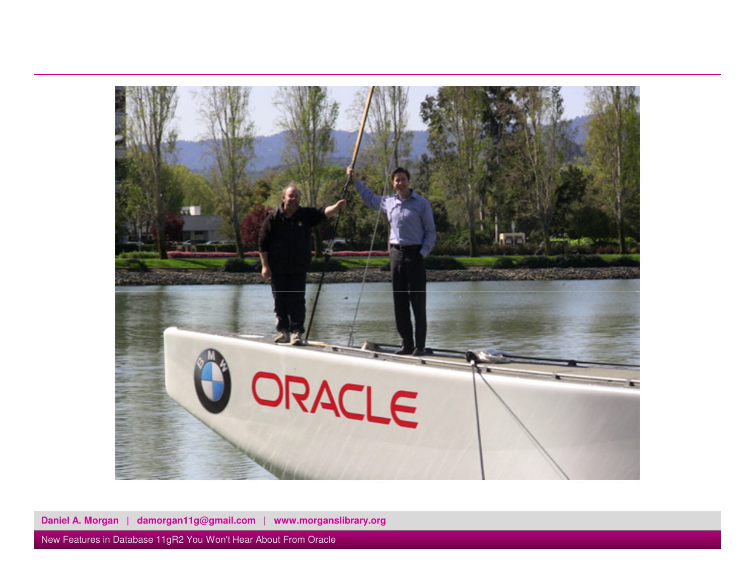

**Daniel A. Morgan | damorgan11g@gmail.com | www.morganslibrary.org**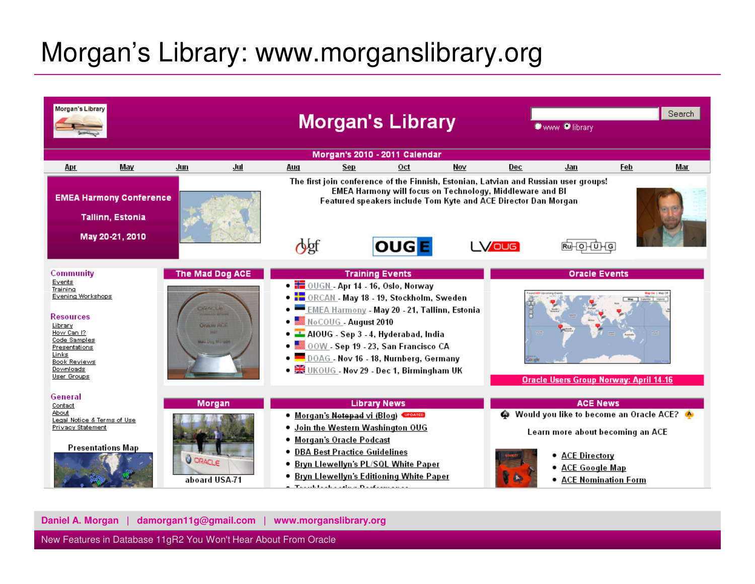### Morgan's Library: www.morganslibrary.org

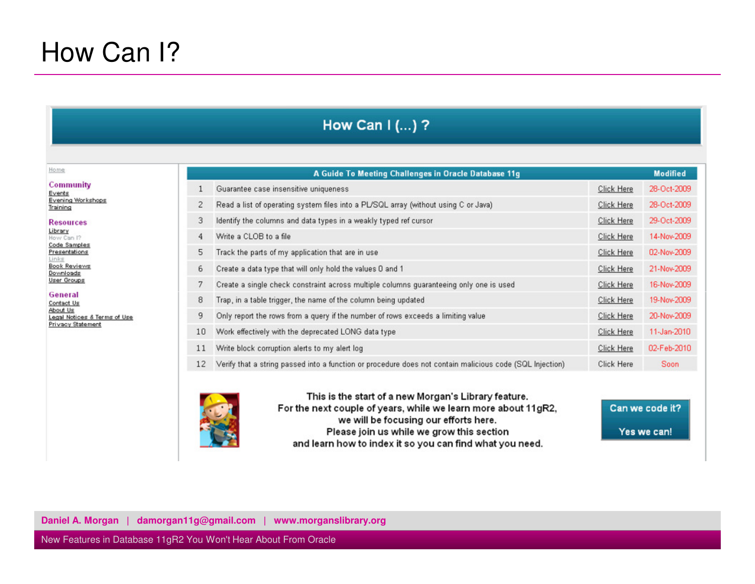#### How Can I (...) ?

#### Home

Community Events Evening Workshops Training

#### **Resources**

Library How Can I? Code Samples Presentations Links **Book Reviews** Downloads User Groups

#### General

Contact Us About Us Legal Notices & Terms of Use Privacy Statement

| A Guide To Meeting Challenges in Oracle Database 11g<br><b>Modified</b> |                                                                                                          |            |             |  |  |  |
|-------------------------------------------------------------------------|----------------------------------------------------------------------------------------------------------|------------|-------------|--|--|--|
| 1                                                                       | Guarantee case insensitive uniqueness                                                                    | Click Here | 28-Oct-2009 |  |  |  |
| $\overline{2}$                                                          | Read a list of operating system files into a PL/SQL array (without using C or Java)                      | Click Here | 28-Oct-2009 |  |  |  |
| 3                                                                       | Identify the columns and data types in a weakly typed ref cursor                                         | Click Here | 29-Oct-2009 |  |  |  |
| $\overline{4}$                                                          | Write a CLOB to a file                                                                                   | Click Here | 14-Nov-2009 |  |  |  |
| 5                                                                       | Track the parts of my application that are in use                                                        | Click Here | 02-Nov-2009 |  |  |  |
| 6                                                                       | Create a data type that will only hold the values 0 and 1                                                | Click Here | 21-Nov-2009 |  |  |  |
| 7                                                                       | Create a single check constraint across multiple columns guaranteeing only one is used                   | Click Here | 16-Nov-2009 |  |  |  |
| 8                                                                       | Trap, in a table trigger, the name of the column being updated                                           | Click Here | 19-Nov-2009 |  |  |  |
| 9                                                                       | Only report the rows from a query if the number of rows exceeds a limiting value                         | Click Here | 20-Nov-2009 |  |  |  |
| 10                                                                      | Work effectively with the deprecated LONG data type                                                      | Click Here | 11-Jan-2010 |  |  |  |
| 11                                                                      | Write block corruption alerts to my alert log                                                            | Click Here | 02-Feb-2010 |  |  |  |
| 12                                                                      | Verify that a string passed into a function or procedure does not contain malicious code (SQL Injection) | Click Here | <b>Soon</b> |  |  |  |



This is the start of a new Morgan's Library feature. For the next couple of years, while we learn more about 11gR2, we will be focusing our efforts here. Please join us while we grow this section and learn how to index it so you can find what you need.

Can we code it? Yes we can!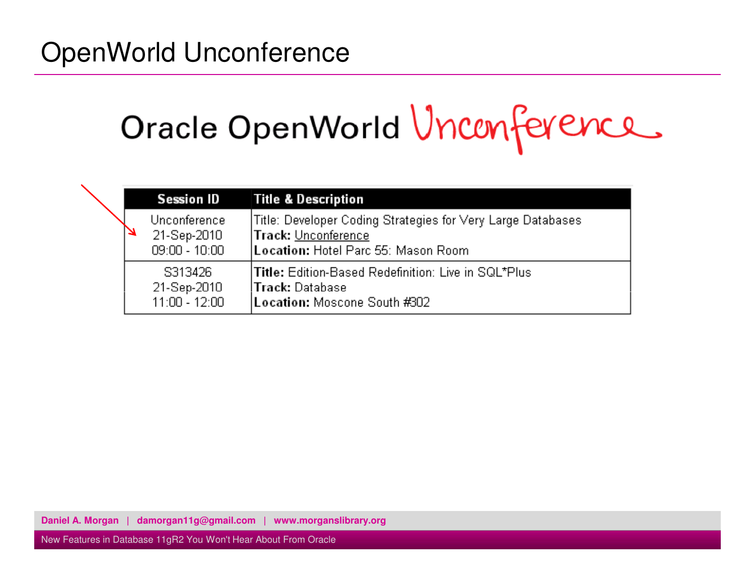## Oracle OpenWorld Uncenference

| Session ID                                     | <b>Title &amp; Description</b>                                                                                            |
|------------------------------------------------|---------------------------------------------------------------------------------------------------------------------------|
| Unconference<br>21-Sep-2010<br>$09:00 - 10:00$ | Title: Developer Coding Strategies for Very Large Databases<br>Track: Unconference<br>Location: Hotel Parc 55: Mason Room |
| S313426<br>21-Sep-2010<br>$11:00 - 12:00$      | Title: Edition-Based Redefinition: Live in SQL*Plus<br><b> Track:</b> Database <br>Location: Moscone South #302           |

**Daniel A. Morgan | damorgan11g@gmail.com | www.morganslibrary.org**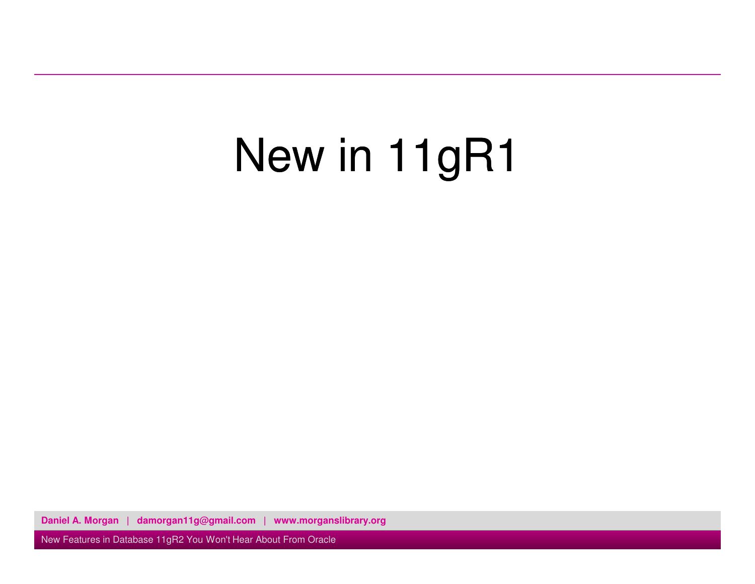**Daniel A. Morgan | damorgan11g@gmail.com | www.morganslibrary.org**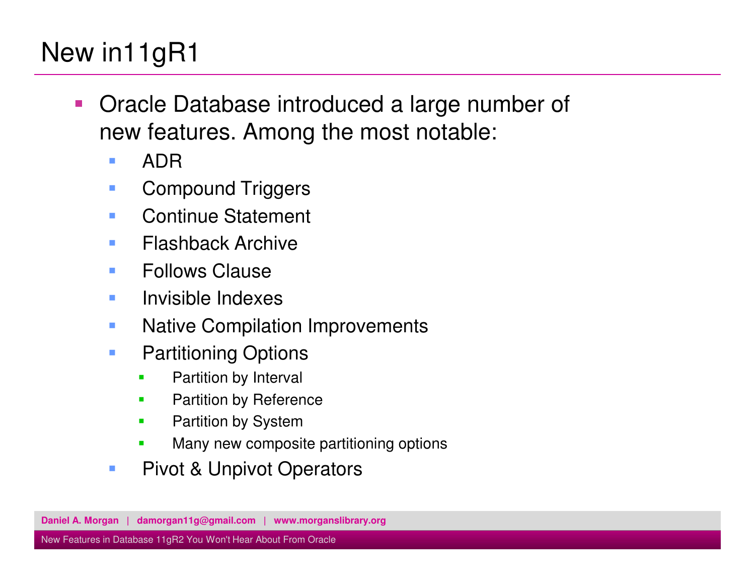- $\mathbb{R}^3$  Oracle Database introduced a large number of new features. Among the most notable:
	- $\mathcal{C}^{\mathcal{A}}$ ADR
	- **Exercise Compound Triggers**  $\mathcal{C}^{\mathcal{A}}$
	- $\overline{\phantom{a}}$ Continue Statement
	- $\mathcal{C}^{\mathcal{A}}$ Flashback Archive
	- $\mathcal{L}_{\mathcal{A}}$ Follows Clause
	- $\mathcal{L}_{\mathcal{A}}$ Invisible Indexes
	- $\mathcal{L}_{\mathcal{A}}$ Native Compilation Improvements
	- $\blacksquare$  Partitioning Options
		- **Partition by Interval**  $\blacksquare$
		- Partition by Reference
		- . Partition by System
		- **Many new composite partitioning options**
	- $\overline{\phantom{a}}$ Pivot & Unpivot Operators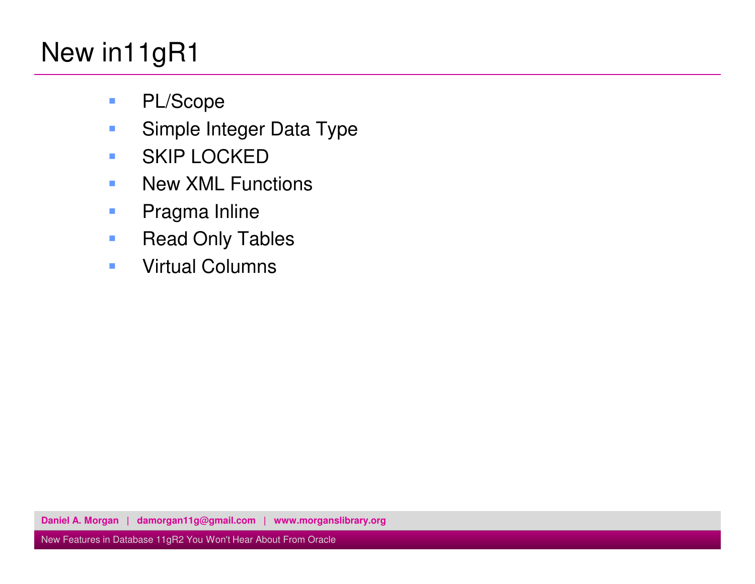- $\mathcal{L}_{\mathcal{A}}$ PL/Scope
- **Simple Integer Data Type**  $\mathbb{R}^3$
- $\mathcal{L}_{\mathcal{A}}$ SKIP LOCKED
- New XML Functions  $\mathcal{L}_{\mathcal{A}}$
- $\mathcal{L}_{\mathcal{A}}$ Pragma Inline
- **Read Only Tables**  $\left\vert \cdot \right\vert$
- $\mathcal{L}_{\mathcal{A}}$ Virtual Columns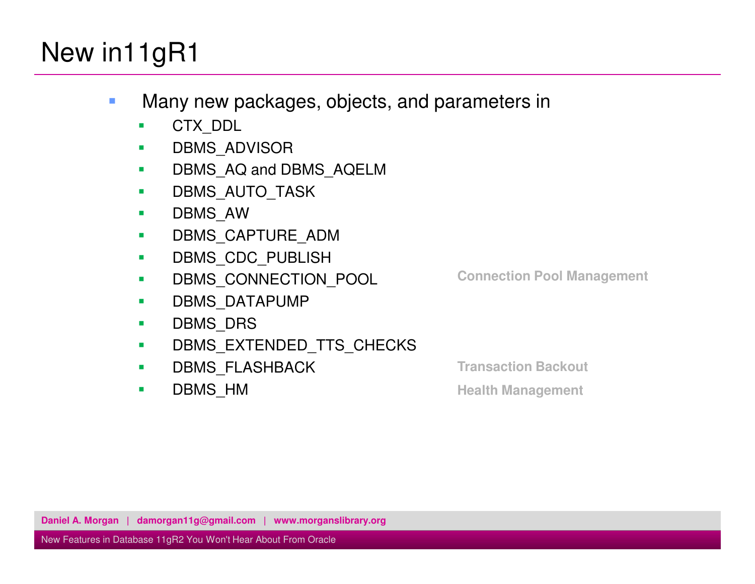- $\mathcal{L}_{\mathcal{A}}$  Many new packages, objects, and parameters in
	- $\blacksquare$ CTX\_DDL
	- DBMS\_ADVISOR $\mathcal{L}_{\mathcal{A}}$
	- **•** DBMS\_AQ and DBMS\_AQELM  $\mathcal{L}_{\mathcal{A}}$
	- $\mathcal{L}_{\mathcal{A}}$ DBMS\_AUTO\_TASK
	- $\mathbf{r}$ DBMS\_AW
	- DBMS\_CAPTURE\_ADM $\mathcal{L}_{\mathcal{A}}$
	- DBMS\_CDC\_PUBLISH $\mathcal{L}_{\mathcal{A}}$
	- DBMS\_CONNECTION\_POOL $\mathcal{L}_{\mathcal{A}}$
	- $\mathcal{L}_{\mathcal{A}}$ DBMS\_DATAPUMP
	- $\mathbf{r}$ DBMS DRS
	- DBMS\_EXTENDED\_TTS\_CHECKS $\blacksquare$
	- $\mathcal{L}_{\mathcal{A}}$ DBMS\_FLASHBACK
	- $\mathcal{L}_{\mathcal{A}}$ DBMS\_HM

**Connection Pool Management**

**Transaction Backout**

**Health Management**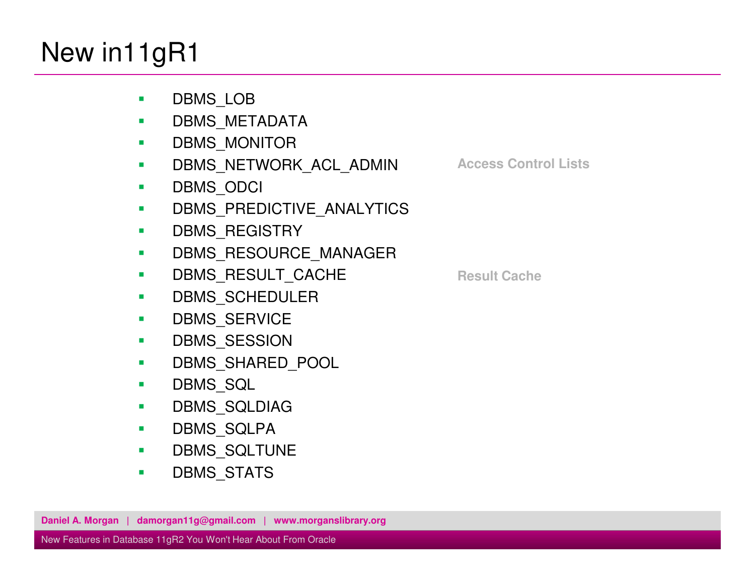- $\mathcal{L}_{\mathcal{A}}$ DBMS LOB
- DBMS\_METADATA $\mathbf{r}$
- DBMS\_MONITOR $\mathcal{L}_{\mathcal{A}}$
- DBMS\_NETWORK\_ACL\_ADMIN $\mathcal{L}_{\mathcal{A}}$
- $\mathcal{L}_{\mathcal{A}}$ DBMS\_ODCI
- $\mathcal{L}_{\mathcal{A}}$ DBMS\_PREDICTIVE\_ANALYTICS
- $\blacksquare$ DBMS REGISTRY
- DBMS\_RESOURCE\_MANAGER $\mathcal{L}_{\mathcal{A}}$
- $\mathcal{L}_{\mathcal{A}}$ DBMS\_RESULT\_CACHE
- $\mathcal{L}_{\mathcal{A}}$ DBMS\_SCHEDULER
- $\mathcal{L}_{\mathcal{A}}$ DBMS\_SERVICE
- DBMS\_SESSION $\mathcal{L}_{\mathcal{A}}$
- DBMS\_SHARED\_POOL $\mathcal{L}_{\mathcal{A}}$
- $\mathcal{L}_{\mathcal{A}}$ DBMS SQL
- **DBMS\_SQLDIAG**  $\mathbf{r}$
- $\mathcal{L}_{\mathcal{A}}$ DBMS SQLPA
- DBMS\_SQLTUNE $\mathcal{L}_{\mathcal{A}}$
- $\mathcal{L}_{\mathcal{A}}$ DBMS\_STATS

**Access Control Lists**

**Result Cache**

**Daniel A. Morgan | damorgan11g@gmail.com | www.morganslibrary.org**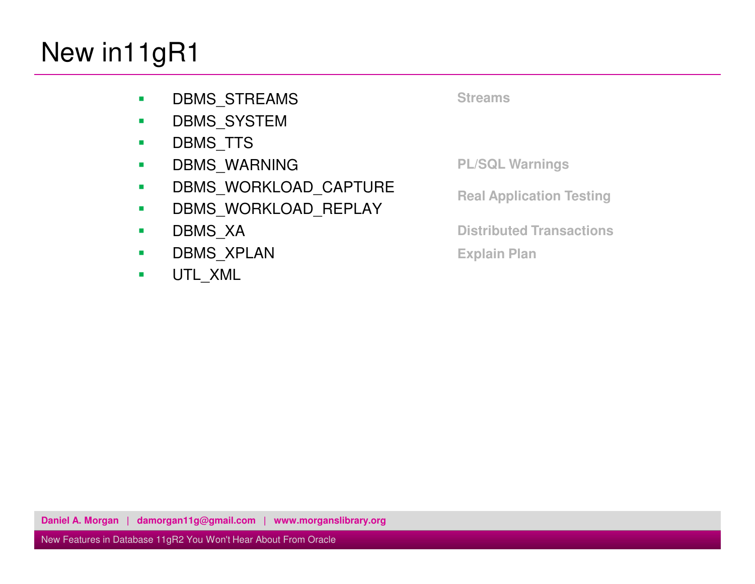- $\mathcal{L}_{\mathcal{A}}$ DBMS\_STREAMS
- DBMS\_SYSTEM $\mathcal{L}_{\mathcal{A}}$
- $\mathcal{L}_{\mathcal{A}}$ DBMS\_TTS
- DBMS\_WARNING $\mathcal{L}_{\rm{eff}}$
- DBMS\_WORKLOAD\_CAPTURE $\mathcal{L}_{\mathcal{A}}$
- $\mathcal{L}_{\mathcal{A}}$ DBMS\_WORKLOAD\_REPLAY
- $\mathcal{L}_{\mathcal{A}}$ DBMS XA
- DBMS\_XPLAN $\mathcal{L}_{\mathcal{A}}$
- $\mathcal{L}_{\mathcal{A}}$ UTL\_XML

**Streams**

**PL/SQL Warnings**

**Real Application Testing**

**Distributed Transactions**

**Explain Plan**

**Daniel A. Morgan | damorgan11g@gmail.com | www.morganslibrary.org**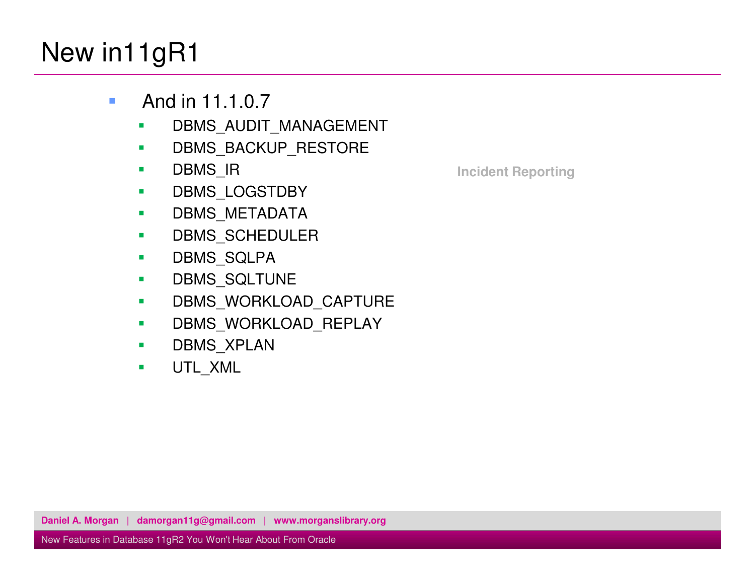- $\overline{\phantom{a}}$  And in 11.1.0.7
	- DBMS\_AUDIT\_MANAGEMENT $\blacksquare$
	- $\mathcal{L}_{\rm{max}}$ DBMS\_BACKUP\_RESTORE
	- $\mathcal{L}_{\rm{max}}$ DBMS IR
	- DBMS\_LOGSTDBY $\mathcal{L}_{\mathcal{A}}$
	- DBMS\_METADATA $\mathcal{L}_{\mathcal{A}}$
	- DBMS\_SCHEDULER $\mathcal{L}_{\mathcal{A}}$
	- $\mathcal{L}_{\mathcal{A}}$ DBMS\_SQLPA
	- DBMS\_SQLTUNE $\mathbf{m}$  .
	- DBMS\_WORKLOAD\_CAPTURE $\mathcal{L}_{\mathcal{A}}$
	- $\mathcal{L}_{\mathcal{A}}$ DBMS\_WORKLOAD\_REPLAY
	- $\blacksquare$ DBMS\_XPLAN
	- $\blacksquare$ UTL\_XML

**Incident Reporting**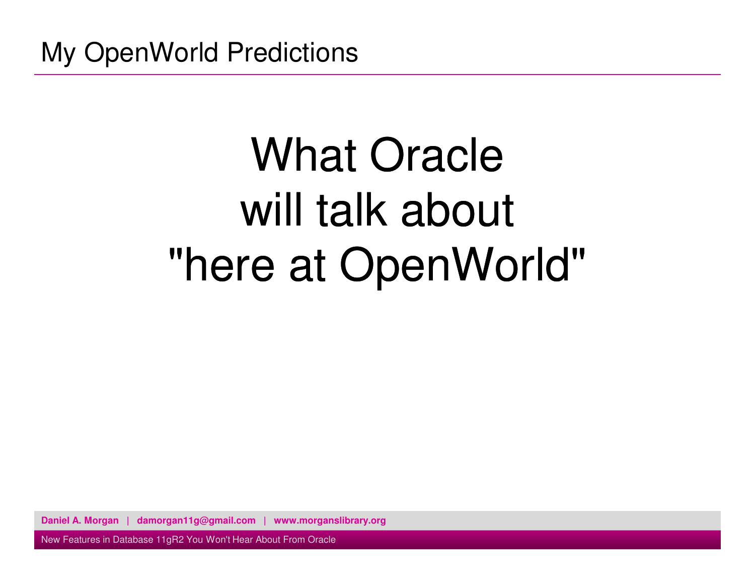# What Oracle will talk about"here at OpenWorld"

**Daniel A. Morgan | damorgan11g@gmail.com | www.morganslibrary.org**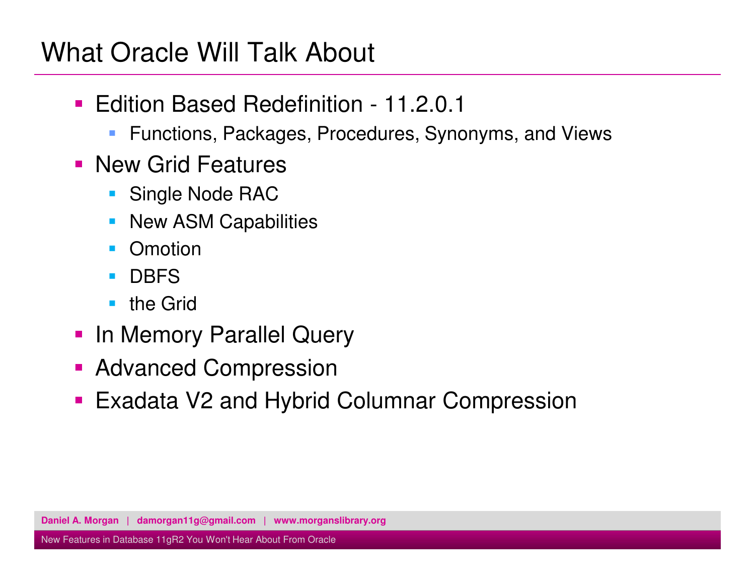### What Oracle Will Talk About

- Edition Based Redefinition 11.2.0.1
	- **Functions, Packages, Procedures, Synonyms, and Views**
- **New Grid Features** 
	- **Single Node RAC**
	- **New ASM Capabilities**
	- **•** Omotion
	- DBFS
	- the Grid
- **In Memory Parallel Query**
- **Advanced Compression**
- **Exadata V2 and Hybrid Columnar Compression**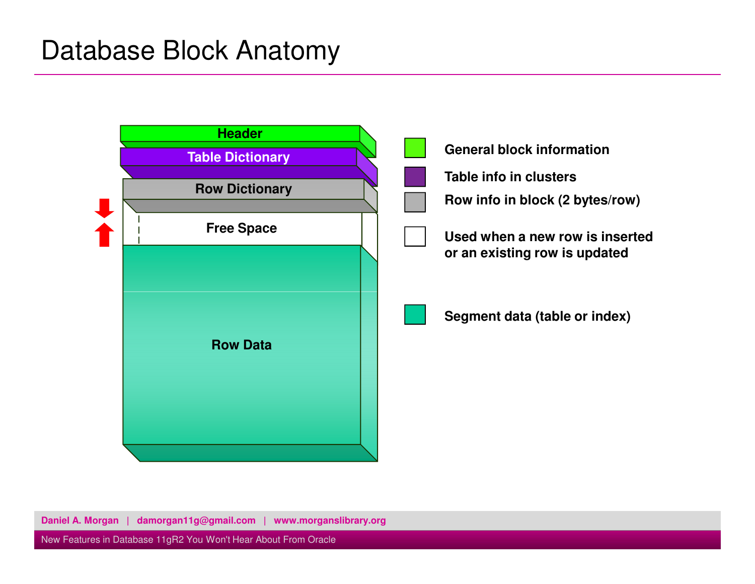### Database Block Anatomy



**Daniel A. Morgan | damorgan11g@gmail.com | www.morganslibrary.org**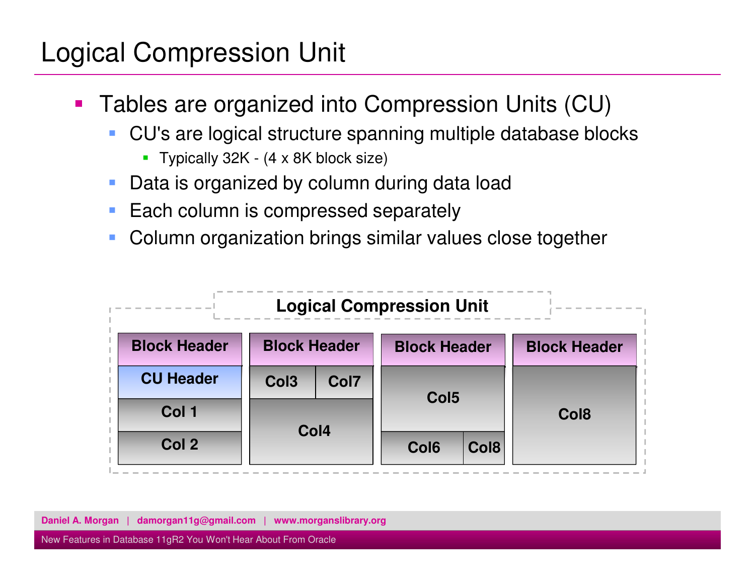### Logical Compression Unit

- **Tables are organized into Compression Units (CU)** 
	- CU's are logical structure spanning multiple database blocks
		- Typically 32K  $(4 \times 8)$ K block size)
	- $\Box$ Data is organized by column during data load
	- Each column is compressed separately
	- Column organization brings similar values close together

| <b>Logical Compression Unit</b> |                          |                                      |                     |  |  |  |  |  |
|---------------------------------|--------------------------|--------------------------------------|---------------------|--|--|--|--|--|
| <b>Block Header</b>             | <b>Block Header</b>      | <b>Block Header</b>                  | <b>Block Header</b> |  |  |  |  |  |
| <b>CU Header</b>                | Col <sub>3</sub><br>Col7 |                                      |                     |  |  |  |  |  |
| Col 1                           |                          | Col <sub>5</sub>                     | Col <sub>8</sub>    |  |  |  |  |  |
| Col 2                           | Col <sub>4</sub>         | Col <sub>6</sub><br>Col <sub>8</sub> |                     |  |  |  |  |  |

**Daniel A. Morgan | damorgan11g@gmail.com | www.morganslibrary.org**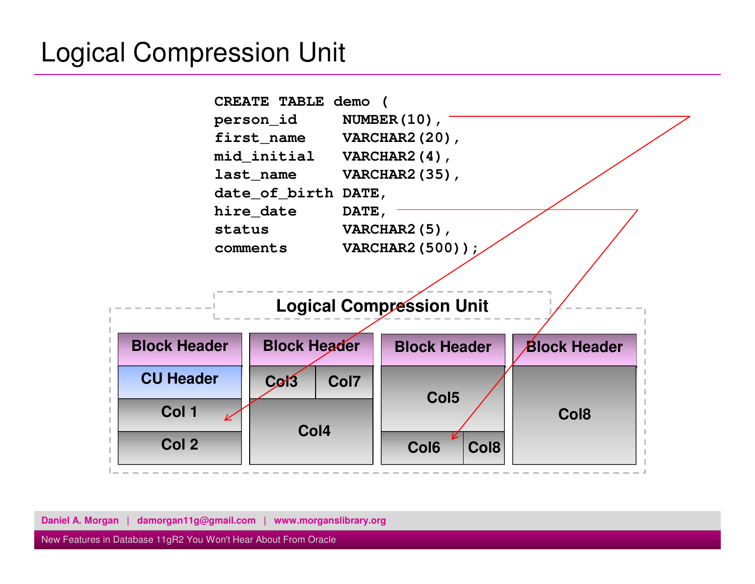

**Daniel A. Morgan | damorgan11g@gmail.com | www.morganslibrary.org**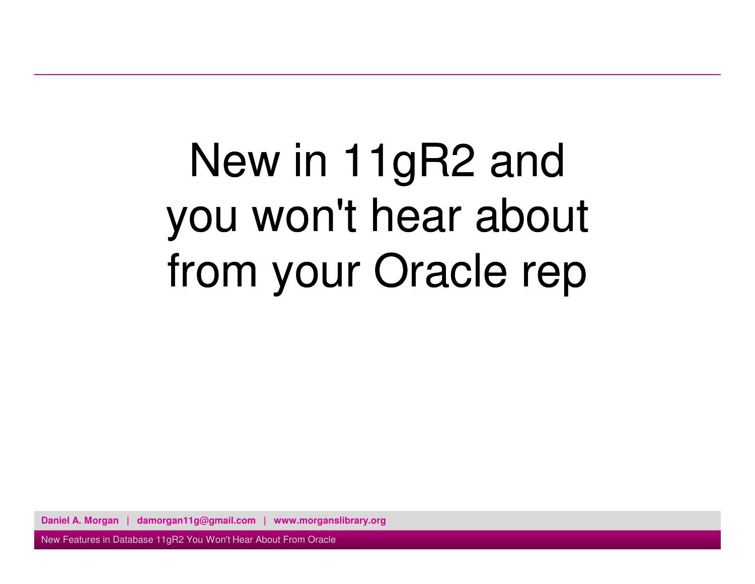# New in 11gR2 and you won't hear aboutfrom your Oracle rep

**Daniel A. Morgan | damorgan11g@gmail.com | www.morganslibrary.org**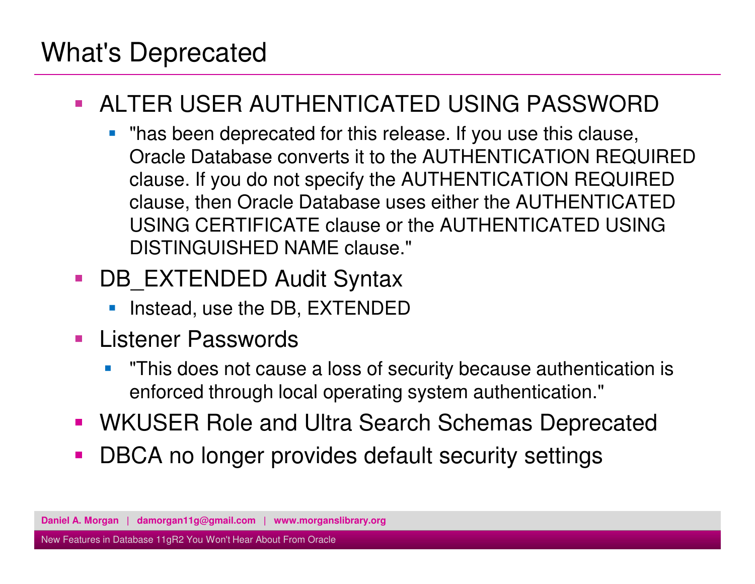### What's Deprecated

#### T. ALTER USER AUTHENTICATED USING PASSWORD

- **Thas been deprecated for this release. If you use this clause,** Oracle Database converts it to the AUTHENTICATION REQUIRED clause. If you do not specify the AUTHENTICATION REQUIRED clause, then Oracle Database uses either the AUTHENTICATED USING CERTIFICATE clause or the AUTHENTICATED USINGDISTINGUISHED NAME clause."
- $\overline{\phantom{a}}$ DB EXTENDED Audit Syntax
	- Instead, use the DB, EXTENDED
- **Listener Passwords** 
	- "This does not cause a loss of security because authentication is enforced through local operating system authentication."
- WKUSER Role and Ultra Search Schemas Deprecated
- $\mathcal{L}_{\mathcal{A}}$ DBCA no longer provides default security settings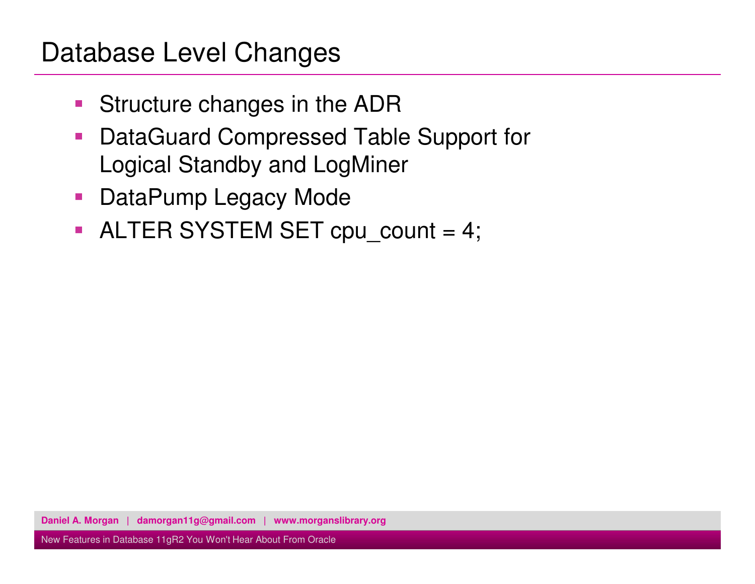### Database Level Changes

- **Structure changes in the ADR**
- **DataGuard Compressed Table Support for**  $\mathcal{L}_{\mathcal{A}}$ Logical Standby and LogMiner
- **DataPump Legacy Mode**
- ALTER SYSTEM SET cpu\_count = 4;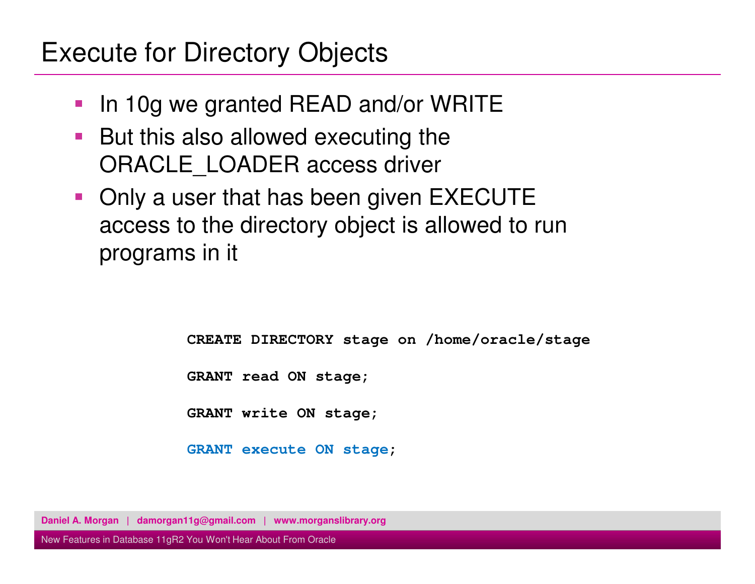### Execute for Directory Objects

- **In 10g we granted READ and/or WRITE**
- $\mathcal{L}_{\rm{max}}$  But this also allowed executing the ORACLE\_LOADER access driver
- **Only a user that has been given EXECUTE** access to the directory object is allowed to run programs in it

**CREATE DIRECTORY stage on /home/oracle/stageGRANT read ON stage;GRANT write ON stage;GRANT execute ON stage;**

**Daniel A. Morgan | damorgan11g@gmail.com | www.morganslibrary.org**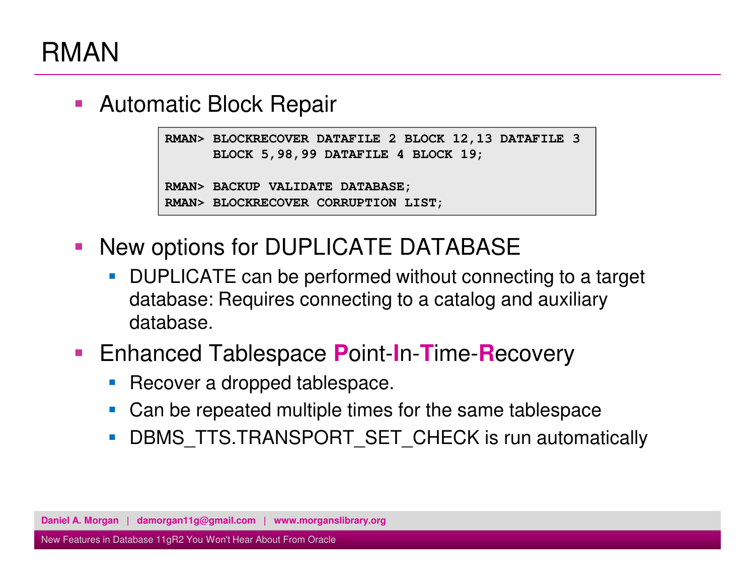#### T. Automatic Block Repair

**RMAN> BLOCKRECOVER DATAFILE 2 BLOCK 12,13 DATAFILE 3 BLOCK 5,98,99 DATAFILE 4 BLOCK 19;**

**RMAN> BACKUP VALIDATE DATABASE; RMAN> BLOCKRECOVER CORRUPTION LIST;**

- New options for DUPLICATE DATABASE
	- **DUPLICATE can be performed without connecting to a target** database: Requires connecting to a catalog and auxiliary database.
- Enhanced Tablespace **P**oint-**I**n-**T**ime-**R**ecovery
	- **Recover a dropped tablespace.**
	- **Can be repeated multiple times for the same tablespace**
	- DBMS\_TTS.TRANSPORT\_SET\_CHECK is run automatically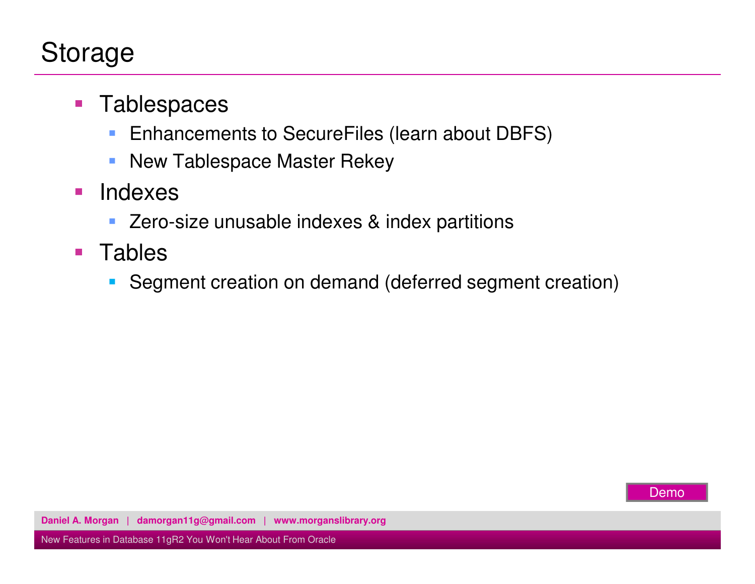### Storage

- **Tablespaces** 
	- $\overline{\phantom{a}}$ Enhancements to SecureFiles (learn about DBFS)
	- $\mathcal{L}_{\mathcal{A}}$ New Tablespace Master Rekey
- **Indexes** 
	- **EXEC** 2 **Zero-size unusable indexes & index partitions**
- **Tables** 
	- $\blacksquare$ Segment creation on demand (deferred segment creation)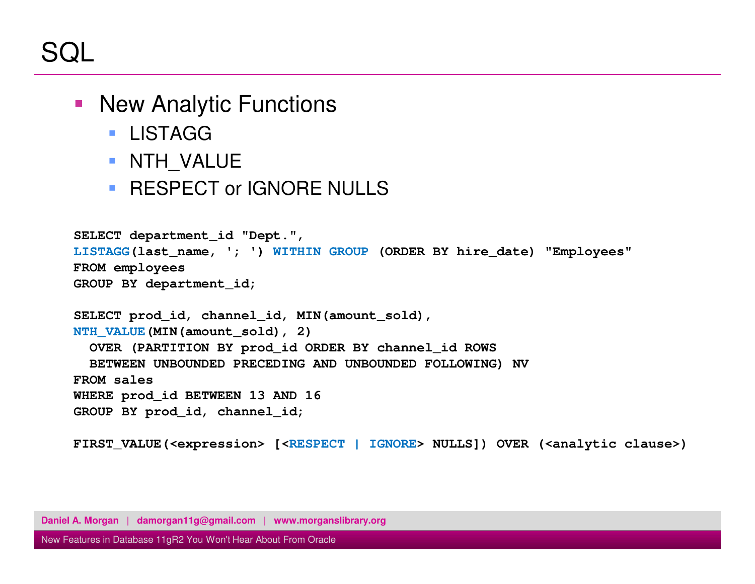#### $\mathcal{L}_{\mathcal{A}}$ New Analytic Functions

- **LISTAGG**
- NTH\_VALUE
- **RESPECT or IGNORE NULLS**

```
SELECT department_id "Dept.",
LISTAGG(last_name, '; ') WITHIN GROUP (ORDER BY hire_date) "Employees"
FROM employees
GROUP BY department_id;SELECT prod id, channel id, MIN(amount sold),
NTH VALUE (MIN(amount sold), 2)

OVER (PARTITION BY prod_id ORDER BY channel_id ROWS
BETWEEN UNBOUNDED PRECEDING AND UNBOUNDED FOLLOWING) NVFROM sales
WHERE prod_id BETWEEN 13 AND 16GROUP BY prod_id, channel_id;
```

```
FIRST VALUE(<expression> [<RESPECT | IGNORE> NULLS]) OVER (<analytic clause>)
```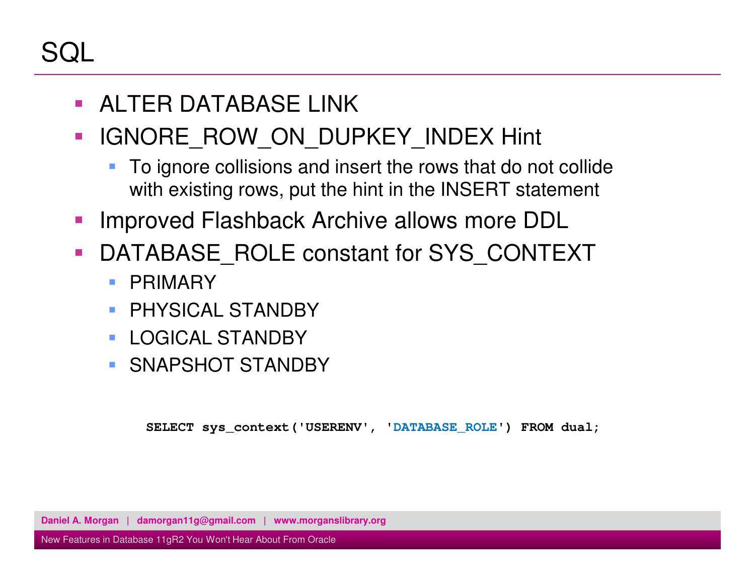#### $\mathcal{L}_{\mathcal{A}}$ ALTER DATABASE LINK

#### IGNORE\_ROW\_ON\_DUPKEY\_INDEX Hint  $\overline{\mathcal{L}}$

- To ignore collisions and insert the rows that do not collide with existing rows, put the hint in the INSERT statement
- Improved Flashback Archive allows more DDL
- $\mathbb{R}^2$ DATABASE\_ROLE constant for SYS\_CONTEXT
	- $\mathcal{L}_{\text{max}}$ PRIMARY
	- PHYSICAL STANDBY
	- LOGICAL STANDBY
	- **SNAPSHOT STANDBY**

```
SELECT sys_context('USERENV', 'DATABASE_ROLE') FROM dual;
```
**Daniel A. Morgan | damorgan11g@gmail.com | www.morganslibrary.org**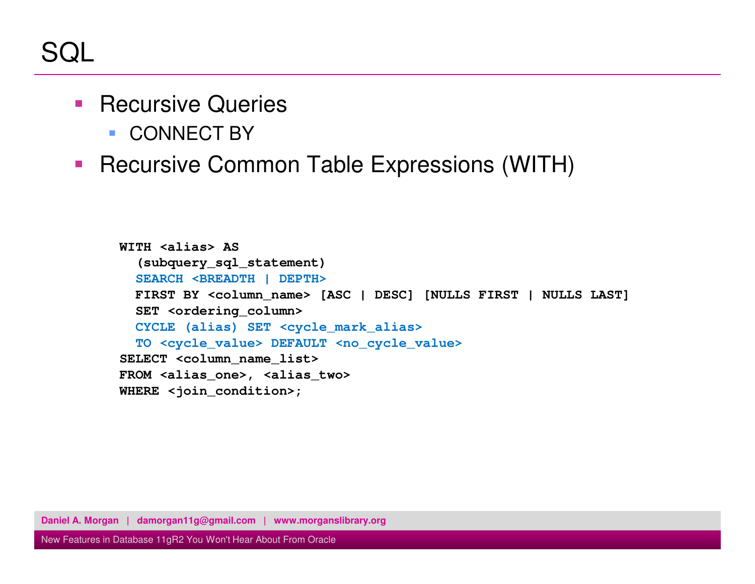#### $\overline{\phantom{a}}$ Recursive Queries

- CONNECT BY
- **Recursive Common Table Expressions (WITH)**

```
WITH <alias> AS
(subquery_sql_statement)
SEARCH <BREADTH | DEPTH>
FIRST BY <column_name> [ASC | DESC] [NULLS FIRST | NULLS LAST]SET <ordering_column>
CYCLE (alias) SET <cycle_mark_alias> 
TO <cycle_value> DEFAULT <no_cycle_value>SELECT <column_name_list>
FROM <alias_one>, <alias_two>WHERE <join_condition>;
```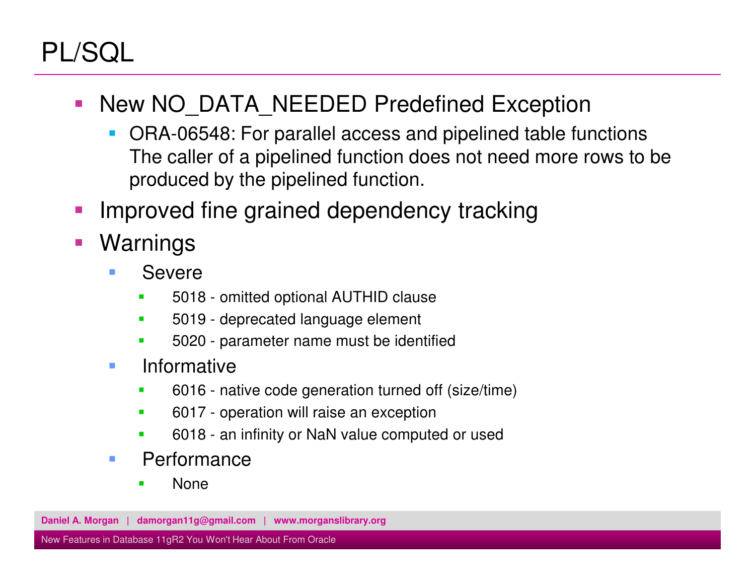### PL/SQL

#### T. New NO\_DATA\_NEEDED Predefined Exception

- ORA-06548: For parallel access and pipelined table functions The caller of a pipelined function does not need more rows to be produced by the pipelined function.
- Improved fine grained dependency tracking
- $\mathcal{L}_{\mathcal{A}}$  Warnings
	- Severe
		- **5018** omitted optional AUTHID clause
		- $\blacksquare$ 5019 - deprecated language element
		- $\blacksquare$ 5020 - parameter name must be identified
	- $\blacksquare$  Informative
		- 6016 native code generation turned off (size/time) г
		- $\mathcal{L}_{\mathcal{A}}$ 6017 - operation will raise an exception
		- $\blacksquare$ 6018 - an infinity or NaN value computed or used
	- п Performance
		- None

**Daniel A. Morgan | damorgan11g@gmail.com | www.morganslibrary.org**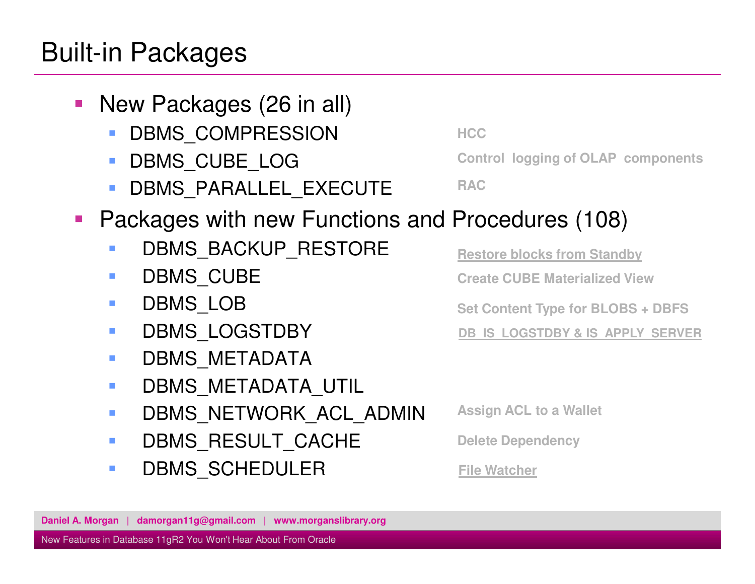### Built-in Packages

- T. New Packages (26 in all)
	- $\mathcal{C}^{\mathcal{A}}$ DBMS\_COMPRESSION
	- DBMS CUBE LOG
	- DBMS\_PARALLEL\_EXECUTE
- $\mathcal{L}_{\mathcal{A}}$  Packages with new Functions and Procedures (108)
	- DBMS\_BACKUP\_RESTORE
	- $\blacksquare$ DBMS CUBE
	- $\left\vert \cdot \right\vert$ DBMS LOB
	- DBMS\_LOGSTDBY  $\mathcal{C}^{\mathcal{A}}$
	- DBMS\_METADATA  $\mathcal{L}^{\mathcal{A}}$
	- DBMS\_METADATA\_UTIL  $\overline{\phantom{a}}$
	- $\mathcal{L}_{\mathcal{A}}$ DBMS\_NETWORK\_ACL\_ADMIN
	- $\mathcal{L}_{\mathcal{A}}$ DBMS\_RESULT\_CACHE
	- $\mathcal{L}_{\mathcal{A}}$ DBMS\_SCHEDULER

**HCC**

**Control logging of OLAP components**

**RAC**

**Restore blocks from Standby**

**Create CUBE Materialized View**

**Set Content Type for BLOBS + DBFS**

DB\_IS\_LOGSTDBY & IS\_APPLY\_SERVER

**Assign ACL to a Wallet**

**Delete Dependency**

**File Watcher**

**Daniel A. Morgan | damorgan11g@gmail.com | www.morganslibrary.org**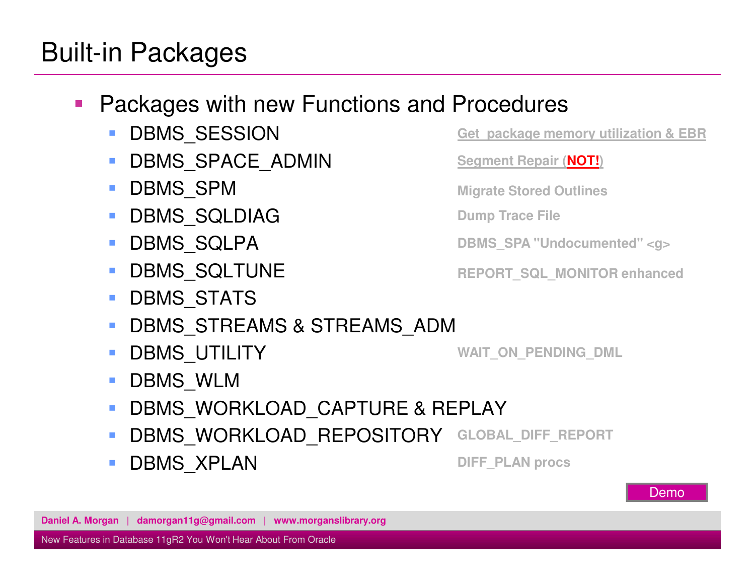### Built-in Packages

#### T. Packages with new Functions and Procedures

- $\overline{\phantom{a}}$ DBMS SESSION
- DBMS\_SPACE\_ADMIN
- DBMS\_SPM
- DBMS\_SQLDIAG
- DBMS\_SQLPA
- DBMS\_SQLTUNE
- DBMS\_STATS
- DBMS\_STREAMS & STREAMS\_ADM
- DBMS\_UTILITY
- **Get package memory utilization & EBR**
- **Segment Repair (NOT!)**
- **Migrate Stored Outlines**
- **Dump Trace File**
- **DBMS\_SPA "Undocumented" <g>**
- **REPORT\_SQL\_MONITOR enhanced**

**WAIT\_ON\_PENDING\_DML**

- DBMS\_WLM
- DBMS\_WORKLOAD\_CAPTURE & REPLAY
- DBMS\_WORKLOAD\_REPOSITORY**GLOBAL\_DIFF\_REPORT**
- DBMS XPLAN

**DIFF\_PLAN procs**

Demo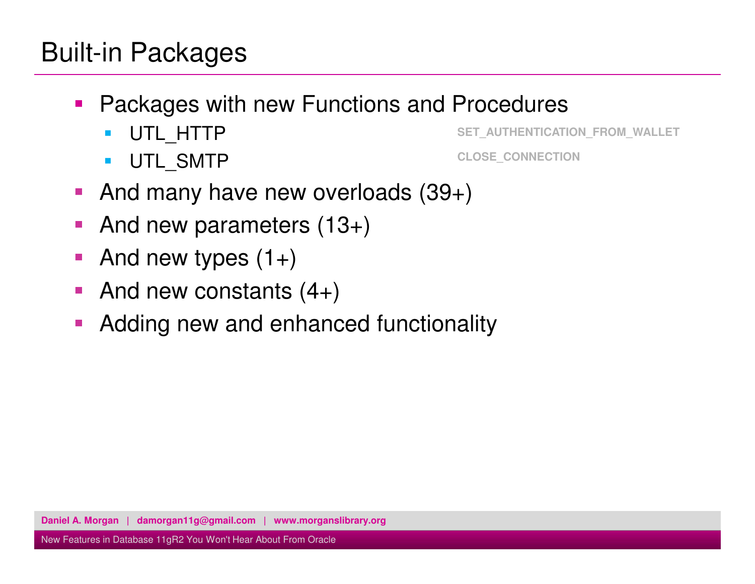### Built-in Packages

- **Packages with new Functions and Procedures** 
	- $\blacksquare$  UTL\_HTTP**SET\_AUTHENTICATION\_FROM\_WALLET**
	- UTL\_SMTP $\Box$
- **CLOSE\_CONNECTION**
- And many have new overloads (39+)
- $\mathbb{R}^2$ And new parameters (13+)
- $\mathcal{L}_{\mathcal{A}}$ And new types  $(1+)$
- And new constants (4+)
- **Adding new and enhanced functionality**